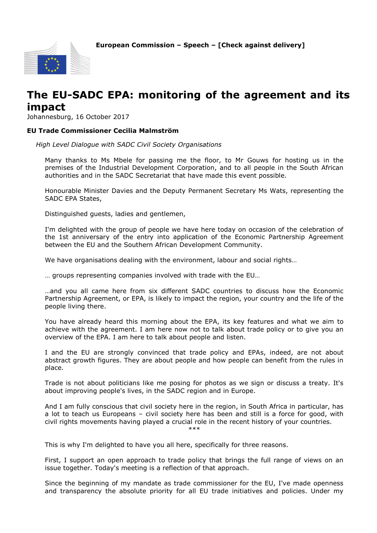**European Commission – Speech – [Check against delivery]**



## **The EU-SADC EPA: monitoring of the agreement and its impact**

Johannesburg, 16 October 2017

## **EU Trade Commissioner Cecilia Malmström**

*High Level Dialogue with SADC Civil Society Organisations*

Many thanks to Ms Mbele for passing me the floor, to Mr Gouws for hosting us in the premises of the Industrial Development Corporation, and to all people in the South African authorities and in the SADC Secretariat that have made this event possible.

Honourable Minister Davies and the Deputy Permanent Secretary Ms Wats, representing the SADC EPA States,

Distinguished guests, ladies and gentlemen,

I'm delighted with the group of people we have here today on occasion of the celebration of the 1st anniversary of the entry into application of the Economic Partnership Agreement between the EU and the Southern African Development Community.

We have organisations dealing with the environment, labour and social rights…

… groups representing companies involved with trade with the EU…

…and you all came here from six different SADC countries to discuss how the Economic Partnership Agreement, or EPA, is likely to impact the region, your country and the life of the people living there.

You have already heard this morning about the EPA, its key features and what we aim to achieve with the agreement. I am here now not to talk about trade policy or to give you an overview of the EPA. I am here to talk about people and listen.

I and the EU are strongly convinced that trade policy and EPAs, indeed, are not about abstract growth figures. They are about people and how people can benefit from the rules in place.

Trade is not about politicians like me posing for photos as we sign or discuss a treaty. It's about improving people's lives, in the SADC region and in Europe.

And I am fully conscious that civil society here in the region, in South Africa in particular, has a lot to teach us Europeans – civil society here has been and still is a force for good, with civil rights movements having played a crucial role in the recent history of your countries. \*\*\*

This is why I'm delighted to have you all here, specifically for three reasons.

First, I support an open approach to trade policy that brings the full range of views on an issue together. Today's meeting is a reflection of that approach.

Since the beginning of my mandate as trade commissioner for the EU, I've made openness and transparency the absolute priority for all EU trade initiatives and policies. Under my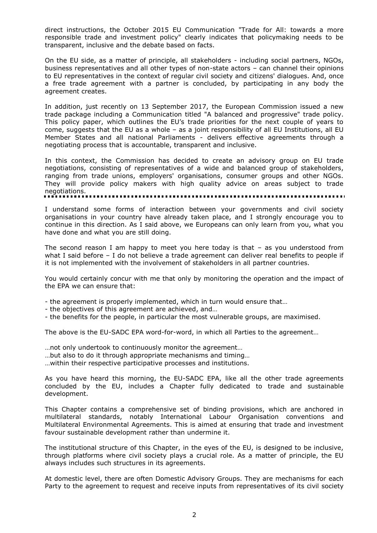direct instructions, the October 2015 EU Communication "Trade for All: towards a more responsible trade and investment policy" clearly indicates that policymaking needs to be transparent, inclusive and the debate based on facts.

On the EU side, as a matter of principle, all stakeholders - including social partners, NGOs, business representatives and all other types of non-state actors – can channel their opinions to EU representatives in the context of regular civil society and citizens' dialogues. And, once a free trade agreement with a partner is concluded, by participating in any body the agreement creates.

In addition, just recently on 13 September 2017, the European Commission issued a new trade package including a Communication titled "A balanced and progressive" trade policy. This policy paper, which outlines the EU's trade priorities for the next couple of years to come, suggests that the EU as a whole – as a joint responsibility of all EU Institutions, all EU Member States and all national Parliaments - delivers effective agreements through a negotiating process that is accountable, transparent and inclusive.

In this context, the Commission has decided to create an advisory group on EU trade negotiations, consisting of representatives of a wide and balanced group of stakeholders, ranging from trade unions, employers' organisations, consumer groups and other NGOs. They will provide policy makers with high quality advice on areas subject to trade negotiations.

I understand some forms of interaction between your governments and civil society organisations in your country have already taken place, and I strongly encourage you to continue in this direction. As I said above, we Europeans can only learn from you, what you have done and what you are still doing.

The second reason I am happy to meet you here today is that – as you understood from what I said before – I do not believe a trade agreement can deliver real benefits to people if it is not implemented with the involvement of stakeholders in all partner countries.

You would certainly concur with me that only by monitoring the operation and the impact of the EPA we can ensure that:

- the agreement is properly implemented, which in turn would ensure that…

- the objectives of this agreement are achieved, and…
- the benefits for the people, in particular the most vulnerable groups, are maximised.

The above is the EU-SADC EPA word-for-word, in which all Parties to the agreement…

…not only undertook to continuously monitor the agreement…

…but also to do it through appropriate mechanisms and timing…

…within their respective participative processes and institutions.

As you have heard this morning, the EU-SADC EPA, like all the other trade agreements concluded by the EU, includes a Chapter fully dedicated to trade and sustainable development.

This Chapter contains a comprehensive set of binding provisions, which are anchored in multilateral standards, notably International Labour Organisation conventions and Multilateral Environmental Agreements. This is aimed at ensuring that trade and investment favour sustainable development rather than undermine it.

The institutional structure of this Chapter, in the eyes of the EU, is designed to be inclusive, through platforms where civil society plays a crucial role. As a matter of principle, the EU always includes such structures in its agreements.

At domestic level, there are often Domestic Advisory Groups. They are mechanisms for each Party to the agreement to request and receive inputs from representatives of its civil society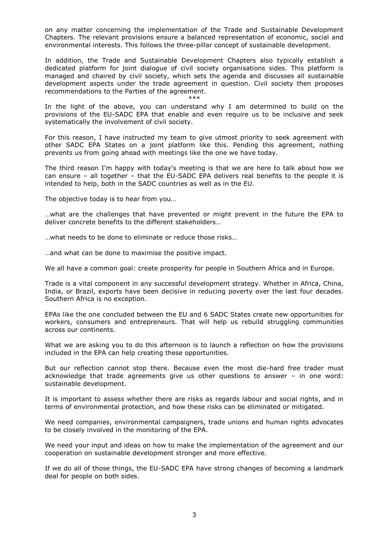on any matter concerning the implementation of the Trade and Sustainable Development Chapters. The relevant provisions ensure a balanced representation of economic, social and environmental interests. This follows the three-pillar concept of sustainable development.

In addition, the Trade and Sustainable Development Chapters also typically establish a dedicated platform for joint dialogue of civil society organisations sides. This platform is managed and chaired by civil society, which sets the agenda and discusses all sustainable development aspects under the trade agreement in question. Civil society then proposes recommendations to the Parties of the agreement.

\*\*\* In the light of the above, you can understand why I am determined to build on the provisions of the EU-SADC EPA that enable and even require us to be inclusive and seek systematically the involvement of civil society.

For this reason, I have instructed my team to give utmost priority to seek agreement with other SADC EPA States on a joint platform like this. Pending this agreement, nothing prevents us from going ahead with meetings like the one we have today.

The third reason I'm happy with today's meeting is that we are here to talk about how we can ensure – all together – that the EU-SADC EPA delivers real benefits to the people it is intended to help, both in the SADC countries as well as in the EU.

The objective today is to hear from you…

…what are the challenges that have prevented or might prevent in the future the EPA to deliver concrete benefits to the different stakeholders…

…what needs to be done to eliminate or reduce those risks…

…and what can be done to maximise the positive impact.

We all have a common goal: create prosperity for people in Southern Africa and in Europe.

Trade is a vital component in any successful development strategy. Whether in Africa, China, India, or Brazil, exports have been decisive in reducing poverty over the last four decades. Southern Africa is no exception.

EPAs like the one concluded between the EU and 6 SADC States create new opportunities for workers, consumers and entrepreneurs. That will help us rebuild struggling communities across our continents.

What we are asking you to do this afternoon is to launch a reflection on how the provisions included in the EPA can help creating these opportunities.

But our reflection cannot stop there. Because even the most die-hard free trader must acknowledge that trade agreements give us other questions to answer – in one word: sustainable development.

It is important to assess whether there are risks as regards labour and social rights, and in terms of environmental protection, and how these risks can be eliminated or mitigated.

We need companies, environmental campaigners, trade unions and human rights advocates to be closely involved in the monitoring of the EPA.

We need your input and ideas on how to make the implementation of the agreement and our cooperation on sustainable development stronger and more effective.

If we do all of those things, the EU-SADC EPA have strong changes of becoming a landmark deal for people on both sides.